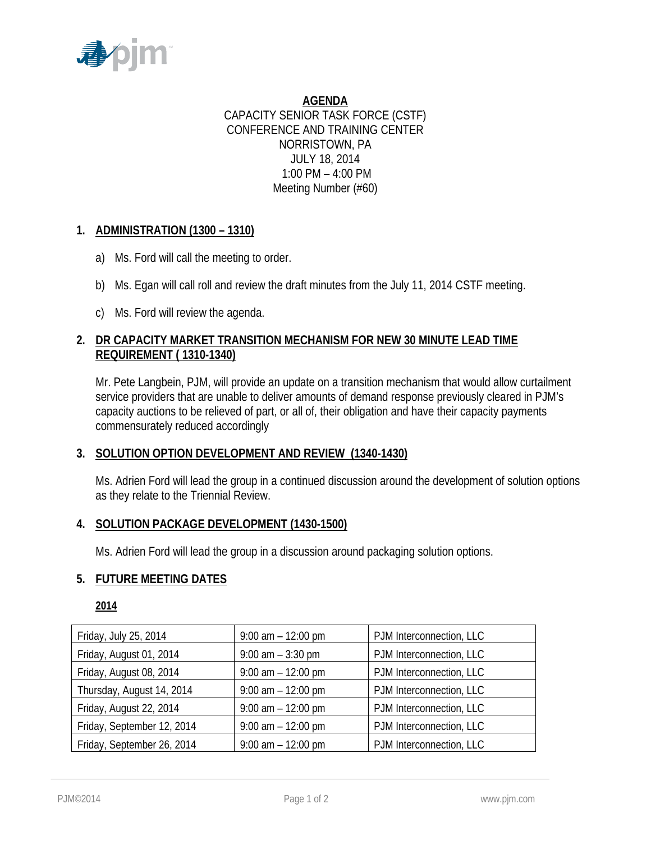

**AGENDA** CAPACITY SENIOR TASK FORCE (CSTF) CONFERENCE AND TRAINING CENTER NORRISTOWN, PA JULY 18, 2014 1:00 PM – 4:00 PM Meeting Number (#60)

# **1. ADMINISTRATION (1300 – 1310)**

- a) Ms. Ford will call the meeting to order.
- b) Ms. Egan will call roll and review the draft minutes from the July 11, 2014 CSTF meeting.
- c) Ms. Ford will review the agenda.

# **2. DR CAPACITY MARKET TRANSITION MECHANISM FOR NEW 30 MINUTE LEAD TIME REQUIREMENT ( 1310-1340)**

Mr. Pete Langbein, PJM, will provide an update on a transition mechanism that would allow curtailment service providers that are unable to deliver amounts of demand response previously cleared in PJM's capacity auctions to be relieved of part, or all of, their obligation and have their capacity payments commensurately reduced accordingly

## **3. SOLUTION OPTION DEVELOPMENT AND REVIEW (1340-1430)**

Ms. Adrien Ford will lead the group in a continued discussion around the development of solution options as they relate to the Triennial Review.

## **4. SOLUTION PACKAGE DEVELOPMENT (1430-1500)**

Ms. Adrien Ford will lead the group in a discussion around packaging solution options.

### **5. FUTURE MEETING DATES**

### **2014**

| Friday, July 25, 2014      | $9:00$ am $-12:00$ pm | PJM Interconnection, LLC |
|----------------------------|-----------------------|--------------------------|
| Friday, August 01, 2014    | $9:00$ am $-3:30$ pm  | PJM Interconnection, LLC |
| Friday, August 08, 2014    | $9:00$ am $-12:00$ pm | PJM Interconnection, LLC |
| Thursday, August 14, 2014  | $9:00$ am $-12:00$ pm | PJM Interconnection, LLC |
| Friday, August 22, 2014    | $9:00$ am $-12:00$ pm | PJM Interconnection, LLC |
| Friday, September 12, 2014 | $9:00$ am $-12:00$ pm | PJM Interconnection, LLC |
| Friday, September 26, 2014 | $9:00$ am $-12:00$ pm | PJM Interconnection, LLC |